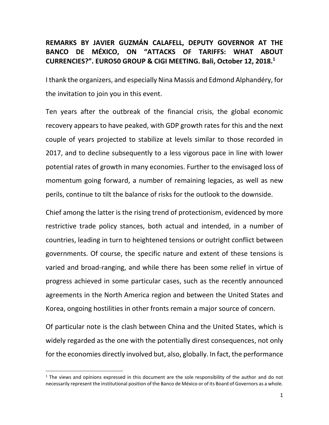## **REMARKS BY JAVIER GUZMÁN CALAFELL, DEPUTY GOVERNOR AT THE BANCO DE MÉXICO, ON "ATTACKS OF TARIFFS: WHAT ABOUT CURRENCIES?". EURO50 GROUP & CIGI MEETING. Bali, October 12, 2018. 1**

I thank the organizers, and especially Nina Massis and Edmond Alphandéry, for the invitation to join you in this event.

Ten years after the outbreak of the financial crisis, the global economic recovery appears to have peaked, with GDP growth rates for this and the next couple of years projected to stabilize at levels similar to those recorded in 2017, and to decline subsequently to a less vigorous pace in line with lower potential rates of growth in many economies. Further to the envisaged loss of momentum going forward, a number of remaining legacies, as well as new perils, continue to tilt the balance of risks for the outlook to the downside.

Chief among the latter is the rising trend of protectionism, evidenced by more restrictive trade policy stances, both actual and intended, in a number of countries, leading in turn to heightened tensions or outright conflict between governments. Of course, the specific nature and extent of these tensions is varied and broad-ranging, and while there has been some relief in virtue of progress achieved in some particular cases, such as the recently announced agreements in the North America region and between the United States and Korea, ongoing hostilities in other fronts remain a major source of concern.

Of particular note is the clash between China and the United States, which is widely regarded as the one with the potentially direst consequences, not only for the economies directly involved but, also, globally. In fact, the performance

 $\ddot{\phantom{a}}$ 

 $<sup>1</sup>$  The views and opinions expressed in this document are the sole responsibility of the author and do not</sup> necessarily represent the institutional position of the Banco de México or of its Board of Governors as a whole.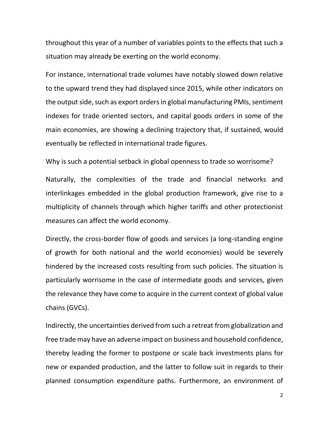throughout this year of a number of variables points to the effects that such a situation may already be exerting on the world economy.

For instance, international trade volumes have notably slowed down relative to the upward trend they had displayed since 2015, while other indicators on the output side, such as export orders in global manufacturing PMIs, sentiment indexes for trade oriented sectors, and capital goods orders in some of the main economies, are showing a declining trajectory that, if sustained, would eventually be reflected in international trade figures.

Why is such a potential setback in global openness to trade so worrisome?

Naturally, the complexities of the trade and financial networks and interlinkages embedded in the global production framework, give rise to a multiplicity of channels through which higher tariffs and other protectionist measures can affect the world economy.

Directly, the cross-border flow of goods and services (a long-standing engine of growth for both national and the world economies) would be severely hindered by the increased costs resulting from such policies. The situation is particularly worrisome in the case of intermediate goods and services, given the relevance they have come to acquire in the current context of global value chains (GVCs).

Indirectly, the uncertainties derived from such a retreat from globalization and free trade may have an adverse impact on business and household confidence, thereby leading the former to postpone or scale back investments plans for new or expanded production, and the latter to follow suit in regards to their planned consumption expenditure paths. Furthermore, an environment of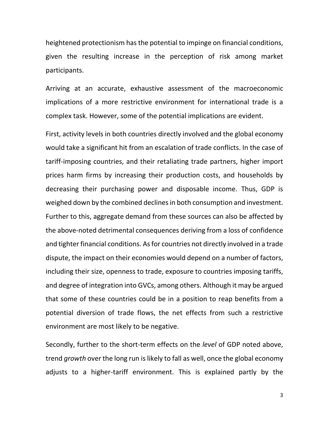heightened protectionism has the potential to impinge on financial conditions, given the resulting increase in the perception of risk among market participants.

Arriving at an accurate, exhaustive assessment of the macroeconomic implications of a more restrictive environment for international trade is a complex task. However, some of the potential implications are evident.

First, activity levels in both countries directly involved and the global economy would take a significant hit from an escalation of trade conflicts. In the case of tariff-imposing countries, and their retaliating trade partners, higher import prices harm firms by increasing their production costs, and households by decreasing their purchasing power and disposable income. Thus, GDP is weighed down by the combined declines in both consumption and investment. Further to this, aggregate demand from these sources can also be affected by the above-noted detrimental consequences deriving from a loss of confidence and tighter financial conditions. As for countries not directly involved in a trade dispute, the impact on their economies would depend on a number of factors, including their size, openness to trade, exposure to countries imposing tariffs, and degree of integration into GVCs, among others. Although it may be argued that some of these countries could be in a position to reap benefits from a potential diversion of trade flows, the net effects from such a restrictive environment are most likely to be negative.

Secondly, further to the short-term effects on the *level* of GDP noted above, trend *growth* over the long run is likely to fall as well, once the global economy adjusts to a higher-tariff environment. This is explained partly by the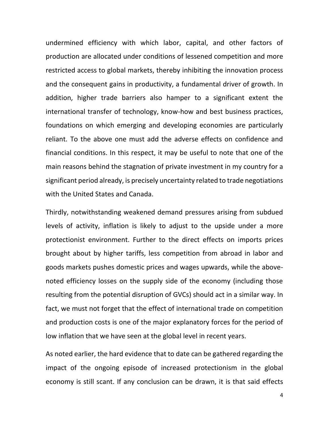undermined efficiency with which labor, capital, and other factors of production are allocated under conditions of lessened competition and more restricted access to global markets, thereby inhibiting the innovation process and the consequent gains in productivity, a fundamental driver of growth. In addition, higher trade barriers also hamper to a significant extent the international transfer of technology, know-how and best business practices, foundations on which emerging and developing economies are particularly reliant. To the above one must add the adverse effects on confidence and financial conditions. In this respect, it may be useful to note that one of the main reasons behind the stagnation of private investment in my country for a significant period already, is precisely uncertainty related to trade negotiations with the United States and Canada.

Thirdly, notwithstanding weakened demand pressures arising from subdued levels of activity, inflation is likely to adjust to the upside under a more protectionist environment. Further to the direct effects on imports prices brought about by higher tariffs, less competition from abroad in labor and goods markets pushes domestic prices and wages upwards, while the abovenoted efficiency losses on the supply side of the economy (including those resulting from the potential disruption of GVCs) should act in a similar way. In fact, we must not forget that the effect of international trade on competition and production costs is one of the major explanatory forces for the period of low inflation that we have seen at the global level in recent years.

As noted earlier, the hard evidence that to date can be gathered regarding the impact of the ongoing episode of increased protectionism in the global economy is still scant. If any conclusion can be drawn, it is that said effects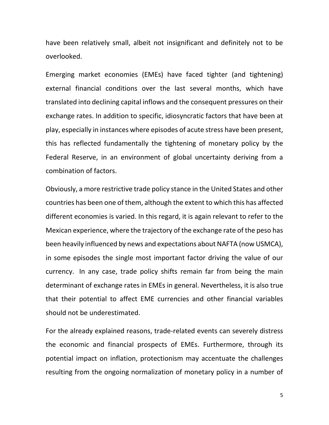have been relatively small, albeit not insignificant and definitely not to be overlooked.

Emerging market economies (EMEs) have faced tighter (and tightening) external financial conditions over the last several months, which have translated into declining capital inflows and the consequent pressures on their exchange rates. In addition to specific, idiosyncratic factors that have been at play, especially in instances where episodes of acute stress have been present, this has reflected fundamentally the tightening of monetary policy by the Federal Reserve, in an environment of global uncertainty deriving from a combination of factors.

Obviously, a more restrictive trade policy stance in the United States and other countries has been one of them, although the extent to which this has affected different economies is varied. In this regard, it is again relevant to refer to the Mexican experience, where the trajectory of the exchange rate of the peso has been heavily influenced by news and expectations about NAFTA (now USMCA), in some episodes the single most important factor driving the value of our currency. In any case, trade policy shifts remain far from being the main determinant of exchange rates in EMEs in general. Nevertheless, it is also true that their potential to affect EME currencies and other financial variables should not be underestimated.

For the already explained reasons, trade-related events can severely distress the economic and financial prospects of EMEs. Furthermore, through its potential impact on inflation, protectionism may accentuate the challenges resulting from the ongoing normalization of monetary policy in a number of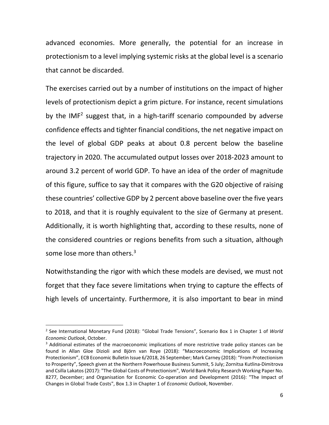advanced economies. More generally, the potential for an increase in protectionism to a level implying systemic risks at the global level is a scenario that cannot be discarded.

The exercises carried out by a number of institutions on the impact of higher levels of protectionism depict a grim picture. For instance, recent simulations by the IMF<sup>2</sup> suggest that, in a high-tariff scenario compounded by adverse confidence effects and tighter financial conditions, the net negative impact on the level of global GDP peaks at about 0.8 percent below the baseline trajectory in 2020. The accumulated output losses over 2018-2023 amount to around 3.2 percent of world GDP. To have an idea of the order of magnitude of this figure, suffice to say that it compares with the G20 objective of raising these countries' collective GDP by 2 percent above baseline over the five years to 2018, and that it is roughly equivalent to the size of Germany at present. Additionally, it is worth highlighting that, according to these results, none of the considered countries or regions benefits from such a situation, although some lose more than others.<sup>3</sup>

Notwithstanding the rigor with which these models are devised, we must not forget that they face severe limitations when trying to capture the effects of high levels of uncertainty. Furthermore, it is also important to bear in mind

 $\overline{a}$ 

<sup>2</sup> See International Monetary Fund (2018): "Global Trade Tensions", Scenario Box 1 in Chapter 1 of *World Economic Outlook*, October.

<sup>&</sup>lt;sup>3</sup> Additional estimates of the macroeconomic implications of more restrictive trade policy stances can be found in Allan Gloe Dizioli and Björn van Roye (2018): "Macroeconomic Implications of Increasing Protectionism", ECB Economic Bulletin Issue 6/2018, 26 September; Mark Carney (2018): "From Protectionism to Prosperity", Speech given at the Northern Powerhouse Business Summit, 5 July; Zornitsa Kutlina-Dimitrova and Csilla Lakatos (2017): "The Global Costs of Protectionism", World Bank Policy Research Working Paper No. 8277, December; and Organisation for Economic Co-operation and Development (2016): "The Impact of Changes in Global Trade Costs", Box 1.3 in Chapter 1 of *Economic Outlook*, November.